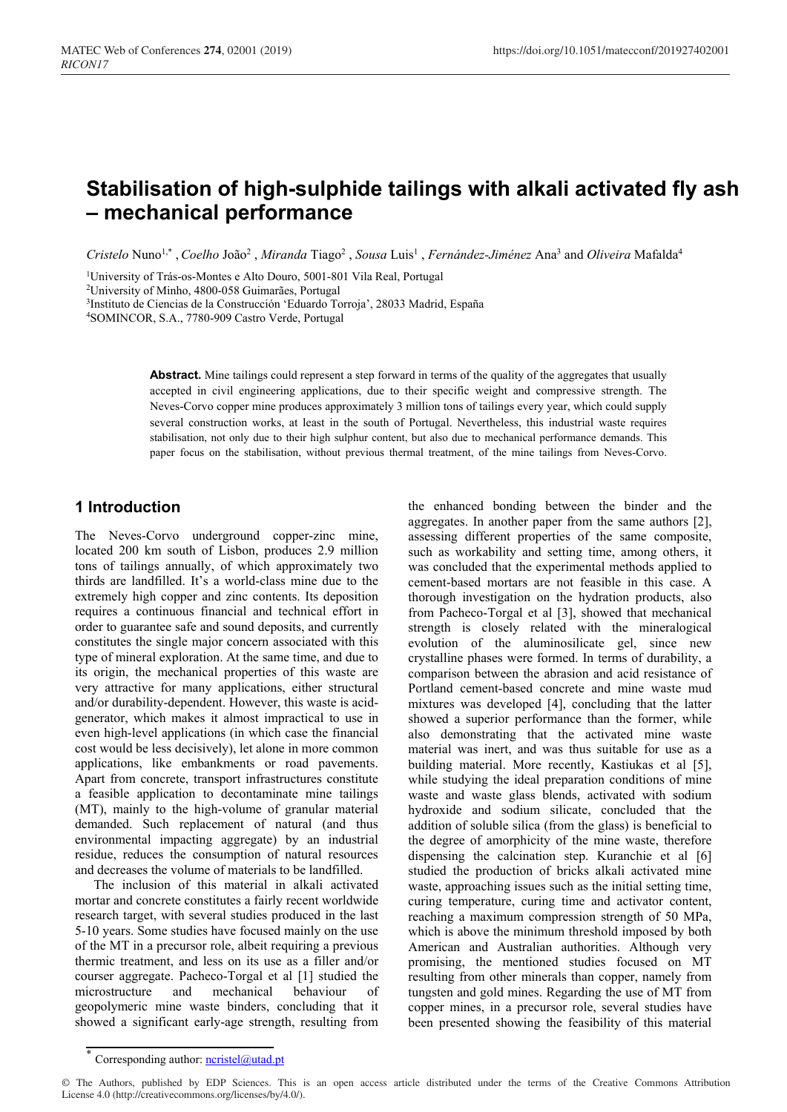# **Stabilisation of high-sulphide tailings with alkali activated fly ash – mechanical performance**

Cristelo Nuno<sup>1,\*</sup>, *Coelho* João<sup>2</sup>, *Miranda* Tiago<sup>2</sup>, *Sousa* Luis<sup>1</sup>, *Fernández-Jiménez* Ana<sup>3</sup> and *Oliveira* Mafalda<sup>4</sup>

<sup>1</sup>University of Trás-os-Montes e Alto Douro, 5001-801 Vila Real, Portugal <sup>2</sup>University of Minho, 4800-058 Guimarães, Portugal

3Instituto de Ciencias de la Construcción 'Eduardo Torroja', 28033 Madrid, España 4SOMINCOR, S.A., 7780-909 Castro Verde, Portugal

Abstract. Mine tailings could represent a step forward in terms of the quality of the aggregates that usually accepted in civil engineering applications, due to their specific weight and compressive strength. The Neves-Corvo copper mine produces approximately 3 million tons of tailings every year, which could supply several construction works, at least in the south of Portugal. Nevertheless, this industrial waste requires stabilisation, not only due to their high sulphur content, but also due to mechanical performance demands. This paper focus on the stabilisation, without previous thermal treatment, of the mine tailings from Neves-Corvo.

# **1 Introduction**

The Neves-Corvo underground copper-zinc mine, located 200 km south of Lisbon, produces 2.9 million tons of tailings annually, of which approximately two thirds are landfilled. It's a world-class mine due to the extremely high copper and zinc contents. Its deposition requires a continuous financial and technical effort in order to guarantee safe and sound deposits, and currently constitutes the single major concern associated with this type of mineral exploration. At the same time, and due to its origin, the mechanical properties of this waste are very attractive for many applications, either structural and/or durability-dependent. However, this waste is acidgenerator, which makes it almost impractical to use in even high-level applications (in which case the financial cost would be less decisively), let alone in more common applications, like embankments or road pavements. Apart from concrete, transport infrastructures constitute a feasible application to decontaminate mine tailings (MT), mainly to the high-volume of granular material demanded. Such replacement of natural (and thus environmental impacting aggregate) by an industrial residue, reduces the consumption of natural resources and decreases the volume of materials to be landfilled.

The inclusion of this material in alkali activated mortar and concrete constitutes a fairly recent worldwide research target, with several studies produced in the last 5-10 years. Some studies have focused mainly on the use of the MT in a precursor role, albeit requiring a previous thermic treatment, and less on its use as a filler and/or courser aggregate. Pacheco-Torgal et al [1] studied the microstructure and mechanical behaviour of geopolymeric mine waste binders, concluding that it showed a significant early-age strength, resulting from

the enhanced bonding between the binder and the aggregates. In another paper from the same authors [2], assessing different properties of the same composite, such as workability and setting time, among others, it was concluded that the experimental methods applied to cement-based mortars are not feasible in this case. A thorough investigation on the hydration products, also from Pacheco-Torgal et al [3], showed that mechanical strength is closely related with the mineralogical evolution of the aluminosilicate gel, since new crystalline phases were formed. In terms of durability, a comparison between the abrasion and acid resistance of Portland cement-based concrete and mine waste mud mixtures was developed [4], concluding that the latter showed a superior performance than the former, while also demonstrating that the activated mine waste material was inert, and was thus suitable for use as a building material. More recently, Kastiukas et al [5], while studying the ideal preparation conditions of mine waste and waste glass blends, activated with sodium hydroxide and sodium silicate, concluded that the addition of soluble silica (from the glass) is beneficial to the degree of amorphicity of the mine waste, therefore dispensing the calcination step. Kuranchie et al [6] studied the production of bricks alkali activated mine waste, approaching issues such as the initial setting time, curing temperature, curing time and activator content, reaching a maximum compression strength of 50 MPa, which is above the minimum threshold imposed by both American and Australian authorities. Although very promising, the mentioned studies focused on MT resulting from other minerals than copper, namely from tungsten and gold mines. Regarding the use of MT from copper mines, in a precursor role, several studies have been presented showing the feasibility of this material

<sup>\*</sup> Corresponding author: ncristel@utad.pt

<sup>©</sup> The Authors, published by EDP Sciences. This is an open access article distributed under the terms of the Creative Commons Attribution License 4.0 (http://creativecommons.org/licenses/by/4.0/).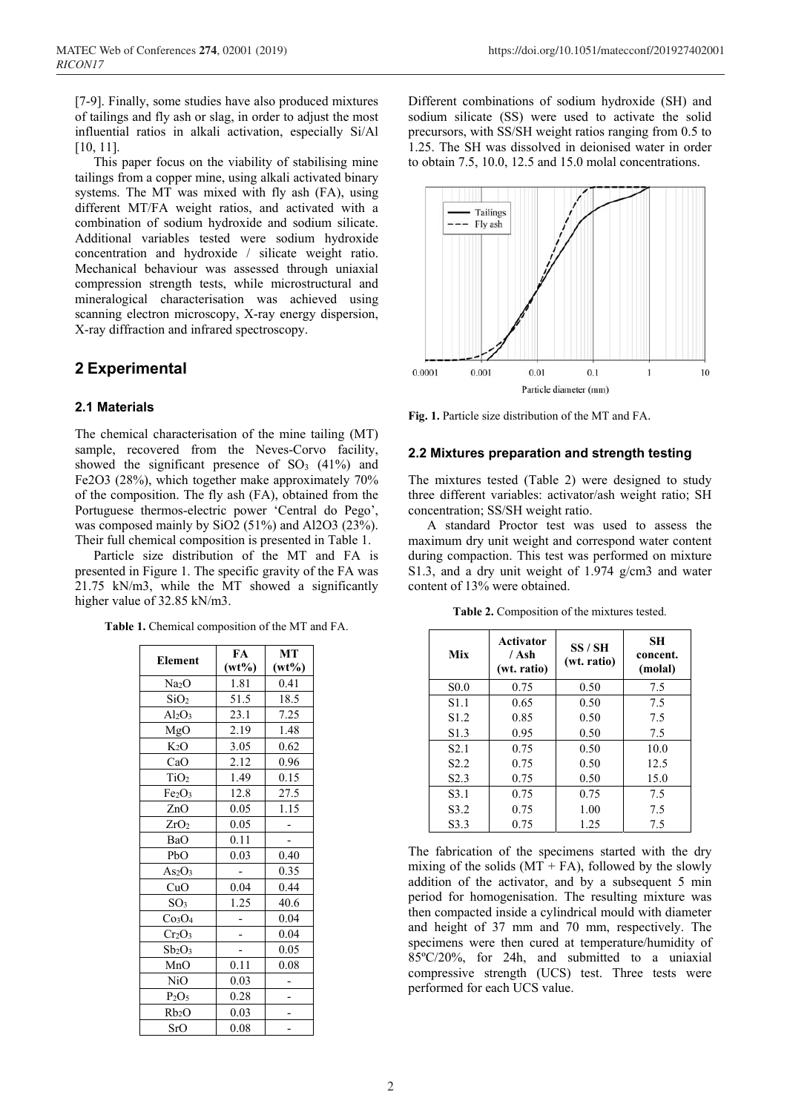[7-9]. Finally, some studies have also produced mixtures of tailings and fly ash or slag, in order to adjust the most influential ratios in alkali activation, especially Si/Al [10, 11].

This paper focus on the viability of stabilising mine tailings from a copper mine, using alkali activated binary systems. The MT was mixed with fly ash (FA), using different MT/FA weight ratios, and activated with a combination of sodium hydroxide and sodium silicate. Additional variables tested were sodium hydroxide concentration and hydroxide / silicate weight ratio. Mechanical behaviour was assessed through uniaxial compression strength tests, while microstructural and mineralogical characterisation was achieved using scanning electron microscopy, X-ray energy dispersion, X-ray diffraction and infrared spectroscopy.

# **2 Experimental**

## **2.1 Materials**

The chemical characterisation of the mine tailing (MT) sample, recovered from the Neves-Corvo facility, showed the significant presence of  $SO<sub>3</sub>$  (41%) and Fe2O3 (28%), which together make approximately 70% of the composition. The fly ash (FA), obtained from the Portuguese thermos-electric power 'Central do Pego', was composed mainly by SiO2 (51%) and Al2O3 (23%). Their full chemical composition is presented in Table 1.

Particle size distribution of the MT and FA is presented in Figure 1. The specific gravity of the FA was 21.75 kN/m3, while the MT showed a significantly higher value of 32.85 kN/m3.

**Table 1.** Chemical composition of the MT and FA.

| <b>Element</b>                 | FA       | MT       |
|--------------------------------|----------|----------|
|                                | $(wt\%)$ | $(wt\%)$ |
| Na <sub>2</sub> O              | 1.81     | 0.41     |
| SiO <sub>2</sub>               | 51.5     | 18.5     |
| $Al_2O_3$                      | 23.1     | 7.25     |
| MgO                            | 2.19     | 1.48     |
| $K_2O$                         | 3.05     | 0.62     |
| CaO                            | 2.12     | 0.96     |
| TiO <sub>2</sub>               | 1.49     | 0.15     |
| Fe <sub>2</sub> O <sub>3</sub> | 12.8     | 27.5     |
| ZnO                            | 0.05     | 1.15     |
| ZrO <sub>2</sub>               | 0.05     |          |
| BaO                            | 0.11     |          |
| PbO                            | 0.03     | 0.40     |
| As <sub>2</sub> O <sub>3</sub> |          | 0.35     |
| CuO                            | 0.04     | 0.44     |
| SO <sub>3</sub>                | 1.25     | 40.6     |
| Co <sub>3</sub> O <sub>4</sub> |          | 0.04     |
| Cr <sub>2</sub> O <sub>3</sub> |          | 0.04     |
| $Sb_2O_3$                      |          | 0.05     |
| MnO                            | 0.11     | 0.08     |
| NiO                            | 0.03     |          |
| P <sub>2</sub> O <sub>5</sub>  | 0.28     |          |
| Rb <sub>2</sub> O              | 0.03     |          |
| SrO                            | 0.08     |          |

Different combinations of sodium hydroxide (SH) and sodium silicate (SS) were used to activate the solid precursors, with SS/SH weight ratios ranging from 0.5 to 1.25. The SH was dissolved in deionised water in order to obtain 7.5, 10.0, 12.5 and 15.0 molal concentrations.



**Fig. 1.** Particle size distribution of the MT and FA.

## **2.2 Mixtures preparation and strength testing**

The mixtures tested (Table 2) were designed to study three different variables: activator/ash weight ratio; SH concentration; SS/SH weight ratio.

A standard Proctor test was used to assess the maximum dry unit weight and correspond water content during compaction. This test was performed on mixture S1.3, and a dry unit weight of 1.974 g/cm3 and water content of 13% were obtained.

| Mix              | Activator<br>/ Ash<br>(wt. ratio) | SS / SH<br>(wt. ratio) | SН<br>concent.<br>(molal) |
|------------------|-----------------------------------|------------------------|---------------------------|
| S <sub>0.0</sub> | 0.75                              | 0.50                   | 7.5                       |
| S <sub>1.1</sub> | 0.65                              | 0.50                   | 7.5                       |
| S <sub>1.2</sub> | 0.85                              | 0.50                   | 7.5                       |
| S <sub>1.3</sub> | 0.95                              | 0.50                   | 7.5                       |
| S <sub>2.1</sub> | 0.75                              | 0.50                   | 10.0                      |
| S <sub>2.2</sub> | 0.75                              | 0.50                   | 12.5                      |
| S <sub>2.3</sub> | 0.75                              | 0.50                   | 15.0                      |
| S <sub>3.1</sub> | 0.75                              | 0.75                   | 7.5                       |
| S <sub>3.2</sub> | 0.75                              | 1.00                   | 7.5                       |
| S <sub>3.3</sub> | 0.75                              | 1.25                   | 7.5                       |

**Table 2.** Composition of the mixtures tested.

The fabrication of the specimens started with the dry mixing of the solids  $(MT + FA)$ , followed by the slowly addition of the activator, and by a subsequent 5 min period for homogenisation. The resulting mixture was then compacted inside a cylindrical mould with diameter and height of 37 mm and 70 mm, respectively. The specimens were then cured at temperature/humidity of 85ºC/20%, for 24h, and submitted to a uniaxial compressive strength (UCS) test. Three tests were performed for each UCS value.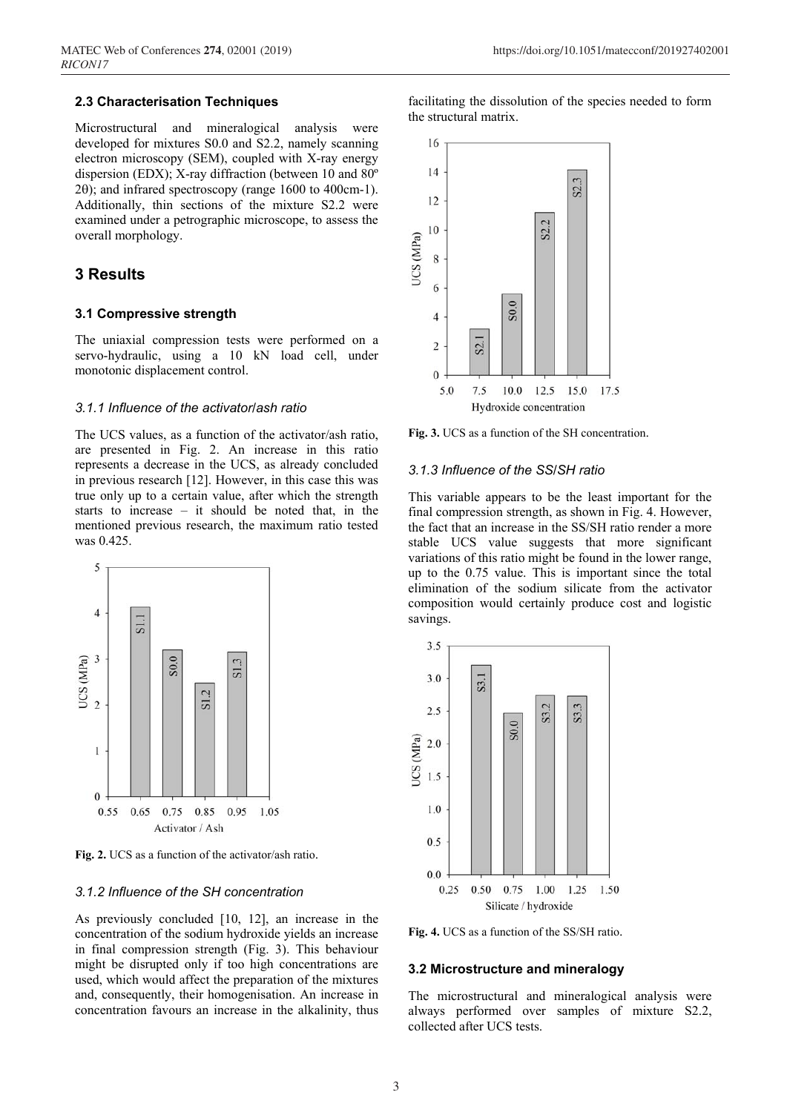#### **2.3 Characterisation Techniques**

Microstructural and mineralogical analysis were developed for mixtures S0.0 and S2.2, namely scanning electron microscopy (SEM), coupled with X-ray energy dispersion (EDX); X-ray diffraction (between 10 and 80º  $2\theta$ ; and infrared spectroscopy (range 1600 to 400cm-1). Additionally, thin sections of the mixture S2.2 were examined under a petrographic microscope, to assess the overall morphology.

## **3 Results**

#### **3.1 Compressive strength**

The uniaxial compression tests were performed on a servo-hydraulic, using a 10 kN load cell, under monotonic displacement control.

#### *3.1.1 Influence of the activator/ash ratio*

The UCS values, as a function of the activator/ash ratio, are presented in Fig. 2. An increase in this ratio represents a decrease in the UCS, as already concluded in previous research [12]. However, in this case this was true only up to a certain value, after which the strength starts to increase – it should be noted that, in the mentioned previous research, the maximum ratio tested was 0.425.



**Fig. 2.** UCS as a function of the activator/ash ratio.

#### *3.1.2 Influence of the SH concentration*

As previously concluded [10, 12], an increase in the concentration of the sodium hydroxide yields an increase in final compression strength (Fig. 3). This behaviour might be disrupted only if too high concentrations are used, which would affect the preparation of the mixtures and, consequently, their homogenisation. An increase in concentration favours an increase in the alkalinity, thus

facilitating the dissolution of the species needed to form the structural matrix.



**Fig. 3.** UCS as a function of the SH concentration.

#### *3.1.3 Influence of the SS/SH ratio*

This variable appears to be the least important for the final compression strength, as shown in Fig. 4. However, the fact that an increase in the SS/SH ratio render a more stable UCS value suggests that more significant variations of this ratio might be found in the lower range, up to the 0.75 value. This is important since the total elimination of the sodium silicate from the activator composition would certainly produce cost and logistic savings.



**Fig. 4.** UCS as a function of the SS/SH ratio.

#### **3.2 Microstructure and mineralogy**

The microstructural and mineralogical analysis were always performed over samples of mixture S2.2, collected after UCS tests.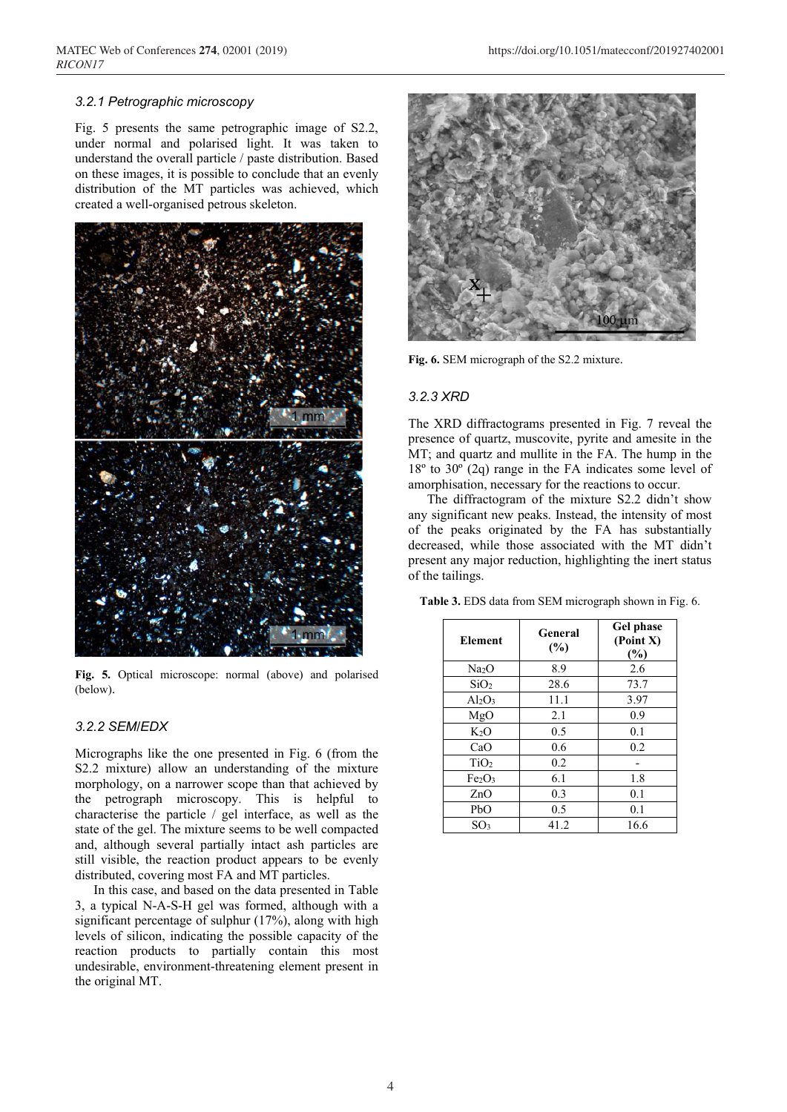## *3.2.1 Petrographic microscopy*

Fig. 5 presents the same petrographic image of S2.2, under normal and polarised light. It was taken to understand the overall particle / paste distribution. Based on these images, it is possible to conclude that an evenly distribution of the MT particles was achieved, which created a well-organised petrous skeleton.



**Fig. 5.** Optical microscope: normal (above) and polarised (below).

## *3.2.2 SEM/EDX*

Micrographs like the one presented in Fig. 6 (from the S2.2 mixture) allow an understanding of the mixture morphology, on a narrower scope than that achieved by the petrograph microscopy. This is helpful to characterise the particle / gel interface, as well as the state of the gel. The mixture seems to be well compacted and, although several partially intact ash particles are still visible, the reaction product appears to be evenly distributed, covering most FA and MT particles.

In this case, and based on the data presented in Table 3, a typical N-A-S-H gel was formed, although with a significant percentage of sulphur (17%), along with high levels of silicon, indicating the possible capacity of the reaction products to partially contain this most undesirable, environment-threatening element present in the original MT.



**Fig. 6.** SEM micrograph of the S2.2 mixture.

#### *3.2.3 XRD*

The XRD diffractograms presented in Fig. 7 reveal the presence of quartz, muscovite, pyrite and amesite in the MT; and quartz and mullite in the FA. The hump in the 18º to 30º (2q) range in the FA indicates some level of amorphisation, necessary for the reactions to occur.

The diffractogram of the mixture S2.2 didn't show any significant new peaks. Instead, the intensity of most of the peaks originated by the FA has substantially decreased, while those associated with the MT didn't present any major reduction, highlighting the inert status of the tailings.

**Table 3.** EDS data from SEM micrograph shown in Fig. 6.

| <b>Element</b>                 | General<br>$(\%)$ | <b>Gel phase</b><br>(Point X)<br>(%) |
|--------------------------------|-------------------|--------------------------------------|
| Na <sub>2</sub> O              | 8.9               | 2.6                                  |
| SiO <sub>2</sub>               | 28.6              | 73.7                                 |
| $Al_2O_3$                      | 11.1              | 3.97                                 |
| MgO                            | 2.1               | 0.9                                  |
| $K_2O$                         | 0.5               | 0.1                                  |
| CaO                            | 0.6               | 0.2                                  |
| TiO <sub>2</sub>               | 0.2               |                                      |
| Fe <sub>2</sub> O <sub>3</sub> | 6.1               | 1.8                                  |
| ZnO                            | 0.3               | 0.1                                  |
| PbO                            | 0.5               | 0.1                                  |
| SO <sub>3</sub>                | 41.2              | 16.6                                 |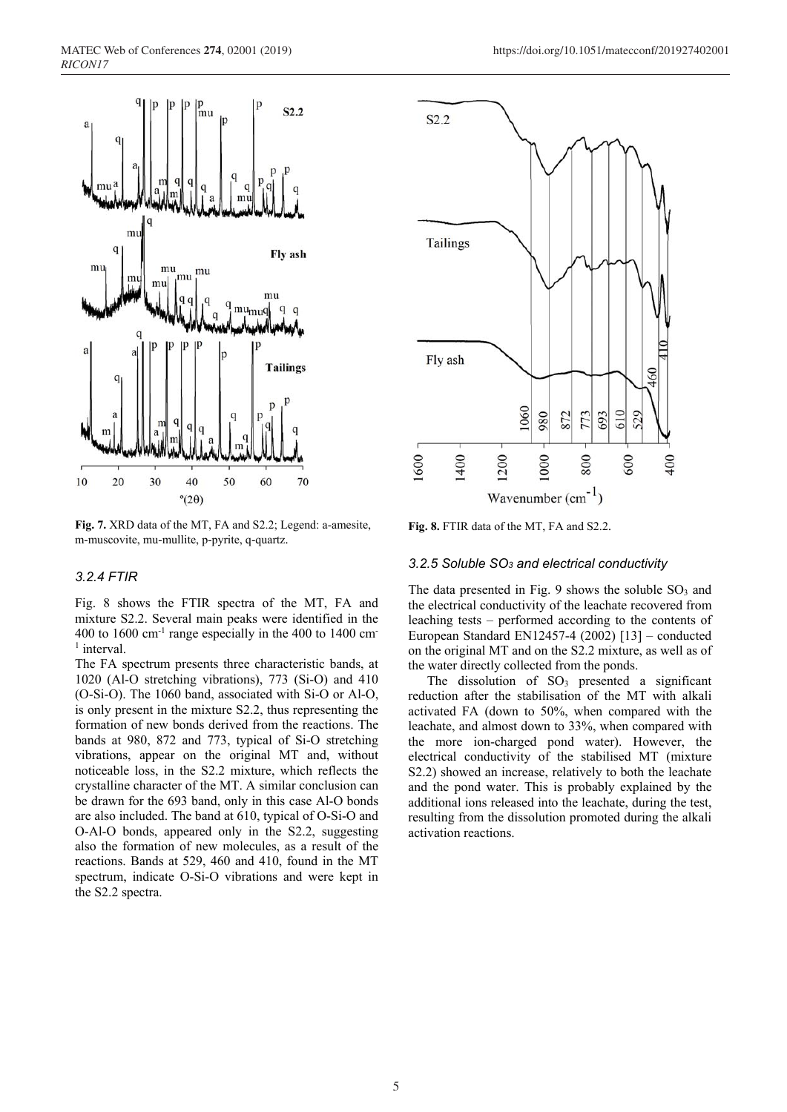

**Fig. 7.** XRD data of the MT, FA and S2.2; Legend: a-amesite, m-muscovite, mu-mullite, p-pyrite, q-quartz.

#### *3.2.4 FTIR*

Fig. 8 shows the FTIR spectra of the MT, FA and mixture S2.2. Several main peaks were identified in the 400 to  $1600 \text{ cm}^{-1}$  range especially in the 400 to 1400 cm <sup>1</sup> interval.

The FA spectrum presents three characteristic bands, at 1020 (Al-O stretching vibrations), 773 (Si-O) and 410 (O-Si-O). The 1060 band, associated with Si-O or Al-O, is only present in the mixture S2.2, thus representing the formation of new bonds derived from the reactions. The bands at 980, 872 and 773, typical of Si-O stretching vibrations, appear on the original MT and, without noticeable loss, in the S2.2 mixture, which reflects the crystalline character of the MT. A similar conclusion can be drawn for the 693 band, only in this case Al-O bonds are also included. The band at 610, typical of O-Si-O and O-Al-O bonds, appeared only in the S2.2, suggesting also the formation of new molecules, as a result of the reactions. Bands at 529, 460 and 410, found in the MT spectrum, indicate O-Si-O vibrations and were kept in the S2.2 spectra.



**Fig. 8.** FTIR data of the MT, FA and S2.2.

#### *3.2.5 Soluble SO3 and electrical conductivity*

The data presented in Fig. 9 shows the soluble  $SO<sub>3</sub>$  and the electrical conductivity of the leachate recovered from leaching tests – performed according to the contents of European Standard EN12457-4 (2002) [13] – conducted on the original MT and on the S2.2 mixture, as well as of the water directly collected from the ponds.

The dissolution of  $SO_3$  presented a significant reduction after the stabilisation of the MT with alkali activated FA (down to 50%, when compared with the leachate, and almost down to 33%, when compared with the more ion-charged pond water). However, the electrical conductivity of the stabilised MT (mixture S2.2) showed an increase, relatively to both the leachate and the pond water. This is probably explained by the additional ions released into the leachate, during the test, resulting from the dissolution promoted during the alkali activation reactions.